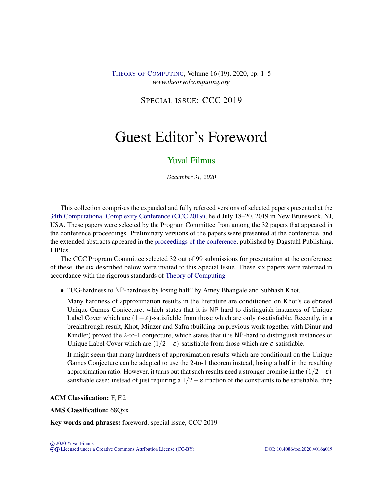## SPECIAL ISSUE: CCC 2019

# Guest Editor's Foreword

## [Yuval Filmus](#page-4-0)

December 31, 2020

This collection comprises the expanded and fully refereed versions of selected papers presented at the [34th Computational Complexity Conference \(CCC 2019\),](http://www.computationalcomplexity.org/Archive/2019/program.php) held July 18–20, 2019 in New Brunswick, NJ, USA. These papers were selected by the Program Committee from among the 32 papers that appeared in the conference proceedings. Preliminary versions of the papers were presented at the conference, and the extended abstracts appeared in the [proceedings of the conference,](https://drops.dagstuhl.de/opus/portals/lipics/index.php?semnr=16115) published by Dagstuhl Publishing, LIPIcs.

The CCC Program Committee selected 32 out of 99 submissions for presentation at the conference; of these, the six described below were invited to this Special Issue. These six papers were refereed in accordance with the rigorous standards of [Theory of Computing.](https://doi.org/10.4086/toc)

• "UG-hardness to NP-hardness by losing half" by Amey Bhangale and Subhash Khot.

Many hardness of approximation results in the literature are conditioned on Khot's celebrated Unique Games Conjecture, which states that it is NP-hard to distinguish instances of Unique Label Cover which are  $(1 - \varepsilon)$ -satisfiable from those which are only  $\varepsilon$ -satisfiable. Recently, in a breakthrough result, Khot, Minzer and Safra (building on previous work together with Dinur and Kindler) proved the 2-to-1 conjecture, which states that it is NP-hard to distinguish instances of Unique Label Cover which are  $(1/2 - \varepsilon)$ -satisfiable from those which are  $\varepsilon$ -satisfiable.

It might seem that many hardness of approximation results which are conditional on the Unique Games Conjecture can be adapted to use the 2-to-1 theorem instead, losing a half in the resulting approximation ratio. However, it turns out that such results need a stronger promise in the  $(1/2-\epsilon)$ satisfiable case: instead of just requiring a  $1/2 - \varepsilon$  fraction of the constraints to be satisfiable, they

#### ACM Classification: F, F.2

#### AMS Classification: 68Qxx

Key words and phrases: foreword, special issue, CCC 2019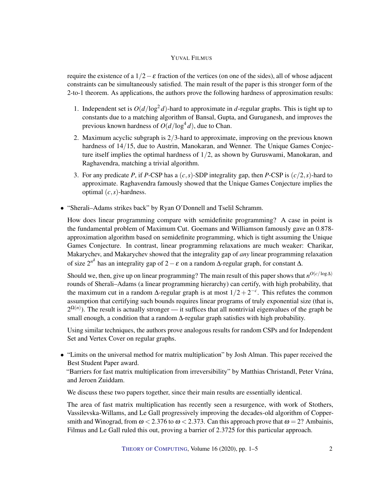#### YUVAL FILMUS

require the existence of a  $1/2 - \varepsilon$  fraction of the vertices (on one of the sides), all of whose adjacent constraints can be simultaneously satisfied. The main result of the paper is this stronger form of the 2-to-1 theorem. As applications, the authors prove the following hardness of approximation results:

- 1. Independent set is  $O(d/\log^2 d)$ -hard to approximate in *d*-regular graphs. This is tight up to constants due to a matching algorithm of Bansal, Gupta, and Guruganesh, and improves the previous known hardness of  $O(d/\log^4 d)$ , due to Chan.
- 2. Maximum acyclic subgraph is 2/3-hard to approximate, improving on the previous known hardness of 14/15, due to Austrin, Manokaran, and Wenner. The Unique Games Conjecture itself implies the optimal hardness of 1/2, as shown by Guruswami, Manokaran, and Raghavendra, matching a trivial algorithm.
- 3. For any predicate *P*, if *P*-CSP has a (*c*,*s*)-SDP integrality gap, then *P*-CSP is (*c*/2,*s*)-hard to approximate. Raghavendra famously showed that the Unique Games Conjecture implies the optimal (*c*,*s*)-hardness.
- "Sherali–Adams strikes back" by Ryan O'Donnell and Tselil Schramm.

How does linear programming compare with semidefinite programming? A case in point is the fundamental problem of Maximum Cut. Goemans and Williamson famously gave an 0.878 approximation algorithm based on semidefinite programming, which is tight assuming the Unique Games Conjecture. In contrast, linear programming relaxations are much weaker: Charikar, Makarychev, and Makarychev showed that the integrality gap of *any* linear programming relaxation of size 2*<sup>n</sup>* δ has an integrality gap of 2−ε on a random ∆-regular graph, for constant ∆.

Should we, then, give up on linear programming? The main result of this paper shows that  $n^{O(c/\log\Delta)}$ rounds of Sherali–Adams (a linear programming hierarchy) can certify, with high probability, that the maximum cut in a random  $\Delta$ -regular graph is at most  $1/2 + 2^{-c}$ . This refutes the common assumption that certifying such bounds requires linear programs of truly exponential size (that is,  $2^{\Omega(n)}$ ). The result is actually stronger — it suffices that all nontrivial eigenvalues of the graph be small enough, a condition that a random  $\Delta$ -regular graph satisfies with high probability.

Using similar techniques, the authors prove analogous results for random CSPs and for Independent Set and Vertex Cover on regular graphs.

• "Limits on the universal method for matrix multiplication" by Josh Alman. This paper received the Best Student Paper award.

"Barriers for fast matrix multiplication from irreversibility" by Matthias Christandl, Peter Vrána, and Jeroen Zuiddam.

We discuss these two papers together, since their main results are essentially identical.

The area of fast matrix multiplication has recently seen a resurgence, with work of Stothers, Vassilevska-Willams, and Le Gall progressively improving the decades-old algorithm of Coppersmith and Winograd, from  $\omega$  < 2.376 to  $\omega$  < 2.373. Can this approach prove that  $\omega$  = 2? Ambainis, Filmus and Le Gall ruled this out, proving a barrier of 2.3725 for this particular approach.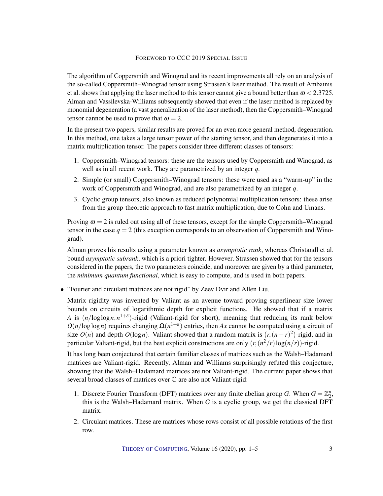#### FOREWORD TO CCC 2019 SPECIAL ISSUE

The algorithm of Coppersmith and Winograd and its recent improvements all rely on an analysis of the so-called Coppersmith–Winograd tensor using Strassen's laser method. The result of Ambainis et al. shows that applying the laser method to this tensor cannot give a bound better than  $\omega$  < 2.3725. Alman and Vassilevska-Williams subsequently showed that even if the laser method is replaced by monomial degeneration (a vast generalization of the laser method), then the Coppersmith–Winograd tensor cannot be used to prove that  $\omega = 2$ .

In the present two papers, similar results are proved for an even more general method, degeneration. In this method, one takes a large tensor power of the starting tensor, and then degenerates it into a matrix multiplication tensor. The papers consider three different classes of tensors:

- 1. Coppersmith–Winograd tensors: these are the tensors used by Coppersmith and Winograd, as well as in all recent work. They are parametrized by an integer *q*.
- 2. Simple (or small) Coppersmith–Winograd tensors: these were used as a "warm-up" in the work of Coppersmith and Winograd, and are also parametrized by an integer *q*.
- 3. Cyclic group tensors, also known as reduced polynomial multiplication tensors: these arise from the group-theoretic approach to fast matrix multiplication, due to Cohn and Umans.

Proving  $\omega = 2$  is ruled out using all of these tensors, except for the simple Coppersmith–Winograd tensor in the case  $q = 2$  (this exception corresponds to an observation of Coppersmith and Winograd).

Alman proves his results using a parameter known as *asymptotic rank*, whereas Christandl et al. bound *asymptotic subrank*, which is a priori tighter. However, Strassen showed that for the tensors considered in the papers, the two parameters coincide, and moreover are given by a third parameter, the *minimum quantum functional*, which is easy to compute, and is used in both papers.

• "Fourier and circulant matrices are not rigid" by Zeev Dvir and Allen Liu.

Matrix rigidity was invented by Valiant as an avenue toward proving superlinear size lower bounds on circuits of logarithmic depth for explicit functions. He showed that if a matrix *A* is  $(n/\log \log n, n^{1+\epsilon})$ -rigid (Valiant-rigid for short), meaning that reducing its rank below  $O(n/\log\log n)$  requires changing  $\Omega(n^{1+\epsilon})$  entries, then *Ax* cannot be computed using a circuit of size  $O(n)$  and depth  $O(log n)$ . Valiant showed that a random matrix is  $(r, (n - r)^2)$ -rigid, and in particular Valiant-rigid, but the best explicit constructions are only  $(r, (n^2/r) \log(n/r))$ -rigid.

It has long been conjectured that certain familiar classes of matrices such as the Walsh–Hadamard matrices are Valiant-rigid. Recently, Alman and Williams surprisingly refuted this conjecture, showing that the Walsh–Hadamard matrices are not Valiant-rigid. The current paper shows that several broad classes of matrices over C are also not Valiant-rigid:

- 1. Discrete Fourier Transform (DFT) matrices over any finite abelian group *G*. When  $G = \mathbb{Z}_2^n$ , this is the Walsh–Hadamard matrix. When *G* is a cyclic group, we get the classical DFT matrix.
- 2. Circulant matrices. These are matrices whose rows consist of all possible rotations of the first row.

THEORY OF C[OMPUTING](http://dx.doi.org/10.4086/toc), Volume 16 (2020), pp. 1–5 3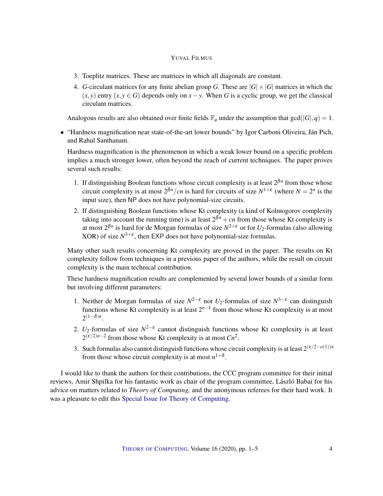#### YUVAL FILMUS

- 3. Toeplitz matrices. These are matrices in which all diagonals are constant.
- 4. *G*-circulant matrices for any finite abelian group *G*. These are  $|G| \times |G|$  matrices in which the  $(x, y)$  entry  $(x, y \in G)$  depends only on  $x - y$ . When G is a cyclic group, we get the classical circulant matrices.

Analogous results are also obtained over finite fields  $\mathbb{F}_q$  under the assumption that  $gcd(|G|, q) = 1$ .

• "Hardness magnification near state-of-the-art lower bounds" by Igor Carboni Oliveira, Ján Pich, and Rahul Santhanam.

Hardness magnification is the phenomenon in which a weak lower bound on a specific problem implies a much stronger lower, often beyond the reach of current techniques. The paper proves several such results:

- 1. If distinguishing Boolean functions whose circuit complexity is at least  $2^{\beta n}$  from those whose circuit complexity is at most  $2^{\beta n}/cn$  is hard for circuits of size  $N^{1+\epsilon}$  (where  $N = 2^n$  is the input size), then NP does not have polynomial-size circuits.
- 2. If distinguishing Boolean functions whose Kt complexity (a kind of Kolmogorov complexity taking into account the running time) is at least  $2^{\beta n} + cn$  from those whose Kt complexity is at most 2 β*n* is hard for de Morgan formulas of size *N* <sup>2</sup>+<sup>ε</sup> or for *U*2-formulas (also allowing XOR) of size  $N^{3+\epsilon}$ , then EXP does not have polynomial-size formulas.

Many other such results concerning Kt complexity are proved in the paper. The results on Kt complexity follow from techniques in a previous paper of the authors, while the result on circuit complexity is the main technical contribution.

These hardness magnification results are complemented by several lower bounds of a similar form but involving different parameters:

- 1. Neither de Morgan formulas of size  $N^{2-\epsilon}$  nor  $U_2$ -formulas of size  $N^{3-\epsilon}$  can distinguish functions whose Kt complexity is at least  $2^{n-1}$  from those whose Kt complexity is at most  $2^{(1-\delta)n}$ .
- 2.  $U_2$ -formulas of size  $N^{2-\epsilon}$  cannot distinguish functions whose Kt complexity is at least  $2^{(\varepsilon/2)n-2}$  from those whose Kt complexity is at most *Cn*<sup>2</sup>.
- 3. Such formulas also cannot distinguish functions whose circuit complexity is at least  $2^{(\varepsilon/2-o(1))n}$ from those whose circuit complexity is at most  $n^{1+\delta}$ .

I would like to thank the authors for their contributions, the CCC program committee for their initial reviews, Amir Shpilka for his fantastic work as chair of the program committee, László Babai for his advice on matters related to *Theory of Computing,* and the anonymous referees for their hard work. It was a pleasure to edit this [Special Issue for Theory of Computing.](http://theoryofcomputing.org/articles/v016a019)